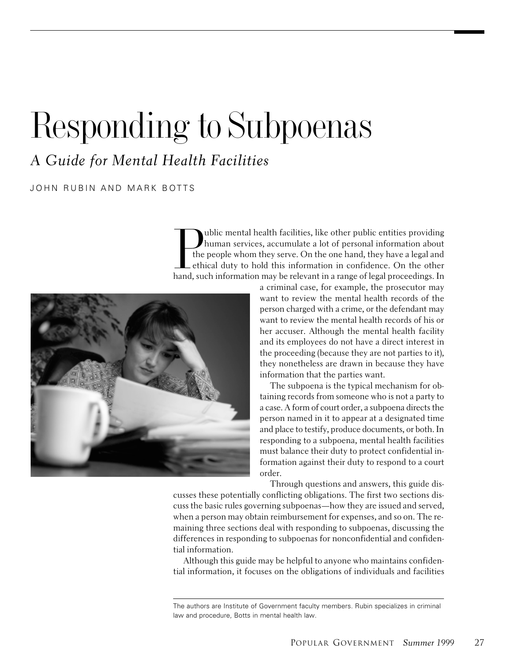# Responding to Subpoenas

A Guide for Mental Health Facilities

JOHN RUBIN AND MARK BOTTS

ublic mental health facilities, like other public entities providing human services, accumulate a lot of personal information about The people whom they serve. On the one hand, they have a legal and the people whom they serve. On the one hand, they have a legal and ethical duty to hold this information in confidence. On the other hand, such information ethical duty to hold this information in confidence. On the other hand, such information may be relevant in a range of legal proceedings. In



a criminal case, for example, the prosecutor may want to review the mental health records of the person charged with a crime, or the defendant may want to review the mental health records of his or her accuser. Although the mental health facility and its employees do not have a direct interest in the proceeding (because they are not parties to it), they nonetheless are drawn in because they have information that the parties want.

The subpoena is the typical mechanism for obtaining records from someone who is not a party to a case. A form of court order, a subpoena directs the person named in it to appear at a designated time and place to testify, produce documents, or both. In responding to a subpoena, mental health facilities must balance their duty to protect confidential information against their duty to respond to a court order.

Through questions and answers, this guide dis-

cusses these potentially conflicting obligations. The first two sections discuss the basic rules governing subpoenas—how they are issued and served, when a person may obtain reimbursement for expenses, and so on. The remaining three sections deal with responding to subpoenas, discussing the differences in responding to subpoenas for nonconfidential and confidential information.

Although this guide may be helpful to anyone who maintains confidential information, it focuses on the obligations of individuals and facilities

The authors are Institute of Government faculty members. Rubin specializes in criminal law and procedure, Botts in mental health law.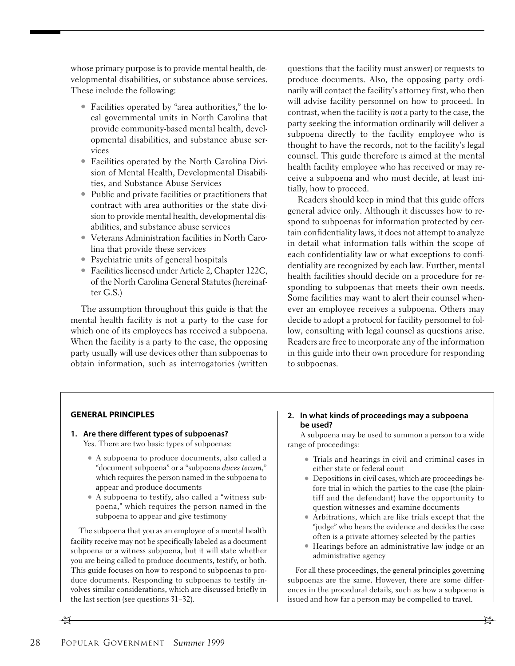whose primary purpose is to provide mental health, developmental disabilities, or substance abuse services. These include the following:

- Facilities operated by "area authorities," the local governmental units in North Carolina that provide community-based mental health, developmental disabilities, and substance abuse services
- Facilities operated by the North Carolina Division of Mental Health, Developmental Disabilities, and Substance Abuse Services
- Public and private facilities or practitioners that contract with area authorities or the state division to provide mental health, developmental disabilities, and substance abuse services
- Veterans Administration facilities in North Carolina that provide these services
- Psychiatric units of general hospitals
- Facilities licensed under Article 2, Chapter 122C, of the North Carolina General Statutes (hereinafter G.S.)

The assumption throughout this guide is that the mental health facility is not a party to the case for which one of its employees has received a subpoena. When the facility is a party to the case, the opposing party usually will use devices other than subpoenas to obtain information, such as interrogatories (written

questions that the facility must answer) or requests to produce documents. Also, the opposing party ordinarily will contact the facility's attorney first, who then will advise facility personnel on how to proceed. In contrast, when the facility is not a party to the case, the party seeking the information ordinarily will deliver a subpoena directly to the facility employee who is thought to have the records, not to the facility's legal counsel. This guide therefore is aimed at the mental health facility employee who has received or may receive a subpoena and who must decide, at least initially, how to proceed.

Readers should keep in mind that this guide offers general advice only. Although it discusses how to respond to subpoenas for information protected by certain confidentiality laws, it does not attempt to analyze in detail what information falls within the scope of each confidentiality law or what exceptions to confidentiality are recognized by each law. Further, mental health facilities should decide on a procedure for responding to subpoenas that meets their own needs. Some facilities may want to alert their counsel whenever an employee receives a subpoena. Others may decide to adopt a protocol for facility personnel to follow, consulting with legal counsel as questions arise. Readers are free to incorporate any of the information in this guide into their own procedure for responding to subpoenas.

## **GENERAL PRINCIPLES**

#### **1. Are there different types of subpoenas?** Yes. There are two basic types of subpoenas:

- A subpoena to produce documents, also called a "document subpoena" or a "subpoena duces tecum," which requires the person named in the subpoena to appear and produce documents
- A subpoena to testify, also called a "witness subpoena," which requires the person named in the subpoena to appear and give testimony

The subpoena that you as an employee of a mental health facility receive may not be specifically labeled as a document subpoena or a witness subpoena, but it will state whether you are being called to produce documents, testify, or both. This guide focuses on how to respond to subpoenas to produce documents. Responding to subpoenas to testify involves similar considerations, which are discussed briefly in the last section (see questions 31–32).

## **2. In what kinds of proceedings may a subpoena be used?**

A subpoena may be used to summon a person to a wide range of proceedings:

- Trials and hearings in civil and criminal cases in either state or federal court
- Depositions in civil cases, which are proceedings before trial in which the parties to the case (the plaintiff and the defendant) have the opportunity to question witnesses and examine documents
- Arbitrations, which are like trials except that the "judge" who hears the evidence and decides the case often is a private attorney selected by the parties
- Hearings before an administrative law judge or an administrative agency

For all these proceedings, the general principles governing subpoenas are the same. However, there are some differences in the procedural details, such as how a subpoena is issued and how far a person may be compelled to travel.

 $f$  for  $f$  for  $f$  for  $f$  for  $f$  for  $f$  for  $f$  for  $f$  for  $f$  for  $f$  for  $f$  for  $f$  for  $f$  for  $f$  for  $f$  for  $f$  for  $f$  for  $f$  for  $f$  for  $f$  for  $f$  for  $f$  for  $f$  for  $f$  for  $f$  for  $f$  for  $f$  for  $f$  f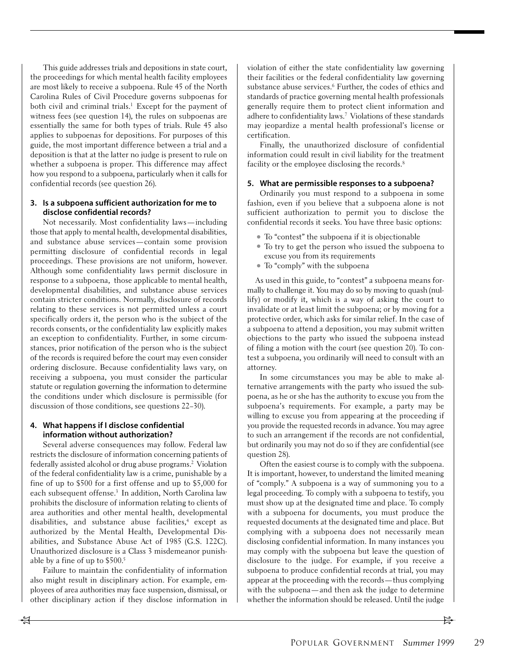This guide addresses trials and depositions in state court, the proceedings for which mental health facility employees are most likely to receive a subpoena. Rule 45 of the North Carolina Rules of Civil Procedure governs subpoenas for both civil and criminal trials.<sup>1</sup> Except for the payment of witness fees (see question 14), the rules on subpoenas are essentially the same for both types of trials. Rule 45 also applies to subpoenas for depositions. For purposes of this guide, the most important difference between a trial and a deposition is that at the latter no judge is present to rule on whether a subpoena is proper. This difference may affect how you respond to a subpoena, particularly when it calls for confidential records (see question 26).

#### **3. Is a subpoena sufficient authorization for me to disclose confidential records?**

Not necessarily. Most confidentiality laws—including those that apply to mental health, developmental disabilities, and substance abuse services—contain some provision permitting disclosure of confidential records in legal proceedings. These provisions are not uniform, however. Although some confidentiality laws permit disclosure in response to a subpoena, those applicable to mental health, developmental disabilities, and substance abuse services contain stricter conditions. Normally, disclosure of records relating to these services is not permitted unless a court specifically orders it, the person who is the subject of the records consents, or the confidentiality law explicitly makes an exception to confidentiality. Further, in some circumstances, prior notification of the person who is the subject of the records is required before the court may even consider ordering disclosure. Because confidentiality laws vary, on receiving a subpoena, you must consider the particular statute or regulation governing the information to determine the conditions under which disclosure is permissible (for discussion of those conditions, see questions 22–30).

## **4. What happens if I disclose confidential information without authorization?**

Several adverse consequences may follow. Federal law restricts the disclosure of information concerning patients of federally assisted alcohol or drug abuse programs.2 Violation of the federal confidentiality law is a crime, punishable by a fine of up to \$500 for a first offense and up to \$5,000 for each subsequent offense.<sup>3</sup> In addition, North Carolina law prohibits the disclosure of information relating to clients of area authorities and other mental health, developmental disabilities, and substance abuse facilities,<sup>4</sup> except as authorized by the Mental Health, Developmental Disabilities, and Substance Abuse Act of 1985 (G.S. 122C). Unauthorized disclosure is a Class 3 misdemeanor punishable by a fine of up to \$500.5

Failure to maintain the confidentiality of information also might result in disciplinary action. For example, employees of area authorities may face suspension, dismissal, or other disciplinary action if they disclose information in violation of either the state confidentiality law governing their facilities or the federal confidentiality law governing substance abuse services.<sup>6</sup> Further, the codes of ethics and standards of practice governing mental health professionals generally require them to protect client information and adhere to confidentiality laws.7 Violations of these standards may jeopardize a mental health professional's license or certification.

Finally, the unauthorized disclosure of confidential information could result in civil liability for the treatment facility or the employee disclosing the records.<sup>8</sup>

#### **5. What are permissible responses to a subpoena?**

Ordinarily you must respond to a subpoena in some fashion, even if you believe that a subpoena alone is not sufficient authorization to permit you to disclose the confidential records it seeks. You have three basic options:

- To "contest" the subpoena if it is objectionable
- To try to get the person who issued the subpoena to excuse you from its requirements
- To "comply" with the subpoena

As used in this guide, to "contest" a subpoena means formally to challenge it. You may do so by moving to quash (nullify) or modify it, which is a way of asking the court to invalidate or at least limit the subpoena; or by moving for a protective order, which asks for similar relief. In the case of a subpoena to attend a deposition, you may submit written objections to the party who issued the subpoena instead of filing a motion with the court (see question 20). To contest a subpoena, you ordinarily will need to consult with an attorney.

In some circumstances you may be able to make alternative arrangements with the party who issued the subpoena, as he or she has the authority to excuse you from the subpoena's requirements. For example, a party may be willing to excuse you from appearing at the proceeding if you provide the requested records in advance. You may agree to such an arrangement if the records are not confidential, but ordinarily you may not do so if they are confidential (see question 28).

Often the easiest course is to comply with the subpoena. It is important, however, to understand the limited meaning of "comply." A subpoena is a way of summoning you to a legal proceeding. To comply with a subpoena to testify, you must show up at the designated time and place. To comply with a subpoena for documents, you must produce the requested documents at the designated time and place. But complying with a subpoena does not necessarily mean disclosing confidential information. In many instances you may comply with the subpoena but leave the question of disclosure to the judge. For example, if you receive a subpoena to produce confidential records at trial, you may appear at the proceeding with the records—thus complying with the subpoena—and then ask the judge to determine whether the information should be released. Until the judge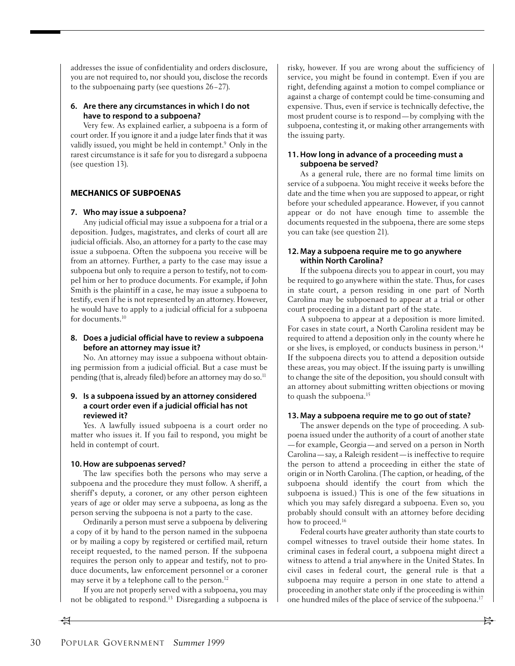addresses the issue of confidentiality and orders disclosure, you are not required to, nor should you, disclose the records to the subpoenaing party (see questions 26–27).

#### **6. Are there any circumstances in which I do not have to respond to a subpoena?**

Very few. As explained earlier, a subpoena is a form of court order. If you ignore it and a judge later finds that it was validly issued, you might be held in contempt.9 Only in the rarest circumstance is it safe for you to disregard a subpoena (see question 13).

## **MECHANICS OF SUBPOENAS**

#### **7. Who may issue a subpoena?**

Any judicial official may issue a subpoena for a trial or a deposition. Judges, magistrates, and clerks of court all are judicial officials. Also, an attorney for a party to the case may issue a subpoena. Often the subpoena you receive will be from an attorney. Further, a party to the case may issue a subpoena but only to require a person to testify, not to compel him or her to produce documents. For example, if John Smith is the plaintiff in a case, he may issue a subpoena to testify, even if he is not represented by an attorney. However, he would have to apply to a judicial official for a subpoena for documents.<sup>10</sup>

## **8. Does a judicial official have to review a subpoena before an attorney may issue it?**

No. An attorney may issue a subpoena without obtaining permission from a judicial official. But a case must be pending (that is, already filed) before an attorney may do so.<sup>11</sup>

### **9. Is a subpoena issued by an attorney considered a court order even if a judicial official has not reviewed it?**

Yes. A lawfully issued subpoena is a court order no matter who issues it. If you fail to respond, you might be held in contempt of court.

## **10. How are subpoenas served?**

The law specifies both the persons who may serve a subpoena and the procedure they must follow. A sheriff, a sheriff's deputy, a coroner, or any other person eighteen years of age or older may serve a subpoena, as long as the person serving the subpoena is not a party to the case.

Ordinarily a person must serve a subpoena by delivering a copy of it by hand to the person named in the subpoena or by mailing a copy by registered or certified mail, return receipt requested, to the named person. If the subpoena requires the person only to appear and testify, not to produce documents, law enforcement personnel or a coroner may serve it by a telephone call to the person.<sup>12</sup>

If you are not properly served with a subpoena, you may not be obligated to respond.13 Disregarding a subpoena is risky, however. If you are wrong about the sufficiency of service, you might be found in contempt. Even if you are right, defending against a motion to compel compliance or against a charge of contempt could be time-consuming and expensive. Thus, even if service is technically defective, the most prudent course is to respond—by complying with the subpoena, contesting it, or making other arrangements with the issuing party.

### **11. How long in advance of a proceeding must a subpoena be served?**

As a general rule, there are no formal time limits on service of a subpoena. You might receive it weeks before the date and the time when you are supposed to appear, or right before your scheduled appearance. However, if you cannot appear or do not have enough time to assemble the documents requested in the subpoena, there are some steps you can take (see question 21).

### **12. May a subpoena require me to go anywhere within North Carolina?**

If the subpoena directs you to appear in court, you may be required to go anywhere within the state. Thus, for cases in state court, a person residing in one part of North Carolina may be subpoenaed to appear at a trial or other court proceeding in a distant part of the state.

A subpoena to appear at a deposition is more limited. For cases in state court, a North Carolina resident may be required to attend a deposition only in the county where he or she lives, is employed, or conducts business in person.14 If the subpoena directs you to attend a deposition outside these areas, you may object. If the issuing party is unwilling to change the site of the deposition, you should consult with an attorney about submitting written objections or moving to quash the subpoena.<sup>15</sup>

#### **13. May a subpoena require me to go out of state?**

The answer depends on the type of proceeding. A subpoena issued under the authority of a court of another state —for example, Georgia—and served on a person in North Carolina—say, a Raleigh resident—is ineffective to require the person to attend a proceeding in either the state of origin or in North Carolina. (The caption, or heading, of the subpoena should identify the court from which the subpoena is issued.) This is one of the few situations in which you may safely disregard a subpoena. Even so, you probably should consult with an attorney before deciding how to proceed.<sup>16</sup>

Federal courts have greater authority than state courts to compel witnesses to travel outside their home states. In criminal cases in federal court, a subpoena might direct a witness to attend a trial anywhere in the United States. In civil cases in federal court, the general rule is that a subpoena may require a person in one state to attend a proceeding in another state only if the proceeding is within one hundred miles of the place of service of the subpoena.<sup>17</sup>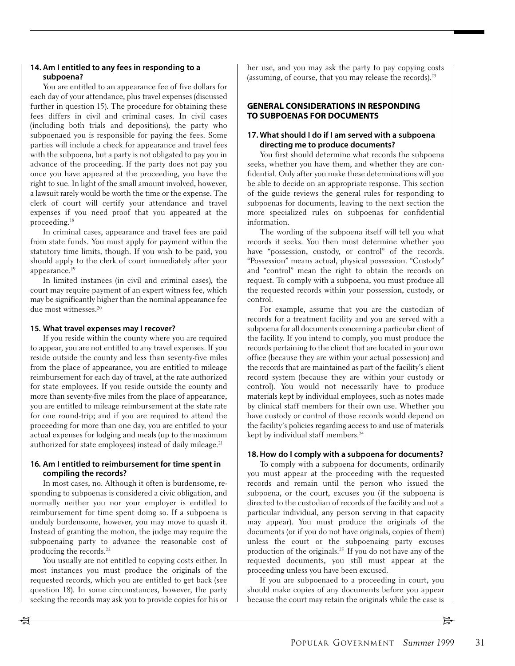## **14. Am I entitled to any fees in responding to a subpoena?**

You are entitled to an appearance fee of five dollars for each day of your attendance, plus travel expenses (discussed further in question 15). The procedure for obtaining these fees differs in civil and criminal cases. In civil cases (including both trials and depositions), the party who subpoenaed you is responsible for paying the fees. Some parties will include a check for appearance and travel fees with the subpoena, but a party is not obligated to pay you in advance of the proceeding. If the party does not pay you once you have appeared at the proceeding, you have the right to sue. In light of the small amount involved, however, a lawsuit rarely would be worth the time or the expense. The clerk of court will certify your attendance and travel expenses if you need proof that you appeared at the proceeding.18

In criminal cases, appearance and travel fees are paid from state funds. You must apply for payment within the statutory time limits, though. If you wish to be paid, you should apply to the clerk of court immediately after your appearance.19

In limited instances (in civil and criminal cases), the court may require payment of an expert witness fee, which may be significantly higher than the nominal appearance fee due most witnesses.20

#### **15. What travel expenses may I recover?**

If you reside within the county where you are required to appear, you are not entitled to any travel expenses. If you reside outside the county and less than seventy-five miles from the place of appearance, you are entitled to mileage reimbursement for each day of travel, at the rate authorized for state employees. If you reside outside the county and more than seventy-five miles from the place of appearance, you are entitled to mileage reimbursement at the state rate for one round-trip; and if you are required to attend the proceeding for more than one day, you are entitled to your actual expenses for lodging and meals (up to the maximum authorized for state employees) instead of daily mileage.<sup>21</sup>

#### **16. Am I entitled to reimbursement for time spent in compiling the records?**

In most cases, no. Although it often is burdensome, responding to subpoenas is considered a civic obligation, and normally neither you nor your employer is entitled to reimbursement for time spent doing so. If a subpoena is unduly burdensome, however, you may move to quash it. Instead of granting the motion, the judge may require the subpoenaing party to advance the reasonable cost of producing the records.22

You usually are not entitled to copying costs either. In most instances you must produce the originals of the requested records, which you are entitled to get back (see question 18). In some circumstances, however, the party seeking the records may ask you to provide copies for his or

her use, and you may ask the party to pay copying costs (assuming, of course, that you may release the records).23

## **GENERAL CONSIDERATIONS IN RESPONDING TO SUBPOENAS FOR DOCUMENTS**

### **17. What should I do if I am served with a subpoena directing me to produce documents?**

You first should determine what records the subpoena seeks, whether you have them, and whether they are confidential. Only after you make these determinations will you be able to decide on an appropriate response. This section of the guide reviews the general rules for responding to subpoenas for documents, leaving to the next section the more specialized rules on subpoenas for confidential information.

The wording of the subpoena itself will tell you what records it seeks. You then must determine whether you have "possession, custody, or control" of the records. "Possession" means actual, physical possession. "Custody" and "control" mean the right to obtain the records on request. To comply with a subpoena, you must produce all the requested records within your possession, custody, or control.

For example, assume that you are the custodian of records for a treatment facility and you are served with a subpoena for all documents concerning a particular client of the facility. If you intend to comply, you must produce the records pertaining to the client that are located in your own office (because they are within your actual possession) and the records that are maintained as part of the facility's client record system (because they are within your custody or control). You would not necessarily have to produce materials kept by individual employees, such as notes made by clinical staff members for their own use. Whether you have custody or control of those records would depend on the facility's policies regarding access to and use of materials kept by individual staff members.<sup>24</sup>

## **18. How do I comply with a subpoena for documents?**

To comply with a subpoena for documents, ordinarily you must appear at the proceeding with the requested records and remain until the person who issued the subpoena, or the court, excuses you (if the subpoena is directed to the custodian of records of the facility and not a particular individual, any person serving in that capacity may appear). You must produce the originals of the documents (or if you do not have originals, copies of them) unless the court or the subpoenaing party excuses production of the originals.25 If you do not have any of the requested documents, you still must appear at the proceeding unless you have been excused.

If you are subpoenaed to a proceeding in court, you should make copies of any documents before you appear because the court may retain the originals while the case is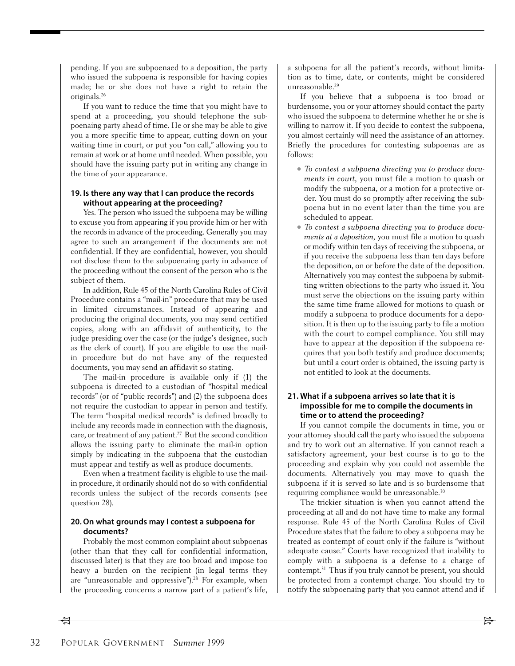pending. If you are subpoenaed to a deposition, the party who issued the subpoena is responsible for having copies made; he or she does not have a right to retain the originals.26

If you want to reduce the time that you might have to spend at a proceeding, you should telephone the subpoenaing party ahead of time. He or she may be able to give you a more specific time to appear, cutting down on your waiting time in court, or put you "on call," allowing you to remain at work or at home until needed. When possible, you should have the issuing party put in writing any change in the time of your appearance.

#### **19. Is there any way that I can produce the records without appearing at the proceeding?**

Yes. The person who issued the subpoena may be willing to excuse you from appearing if you provide him or her with the records in advance of the proceeding. Generally you may agree to such an arrangement if the documents are not confidential. If they are confidential, however, you should not disclose them to the subpoenaing party in advance of the proceeding without the consent of the person who is the subject of them.

In addition, Rule 45 of the North Carolina Rules of Civil Procedure contains a "mail-in" procedure that may be used in limited circumstances. Instead of appearing and producing the original documents, you may send certified copies, along with an affidavit of authenticity, to the judge presiding over the case (or the judge's designee, such as the clerk of court). If you are eligible to use the mailin procedure but do not have any of the requested documents, you may send an affidavit so stating.

The mail-in procedure is available only if (1) the subpoena is directed to a custodian of "hospital medical records" (or of "public records") and (2) the subpoena does not require the custodian to appear in person and testify. The term "hospital medical records" is defined broadly to include any records made in connection with the diagnosis, care, or treatment of any patient.<sup>27</sup> But the second condition allows the issuing party to eliminate the mail-in option simply by indicating in the subpoena that the custodian must appear and testify as well as produce documents.

Even when a treatment facility is eligible to use the mailin procedure, it ordinarily should not do so with confidential records unless the subject of the records consents (see question 28).

#### **20. On what grounds may I contest a subpoena for documents?**

Probably the most common complaint about subpoenas (other than that they call for confidential information, discussed later) is that they are too broad and impose too heavy a burden on the recipient (in legal terms they are "unreasonable and oppressive").<sup>28</sup> For example, when the proceeding concerns a narrow part of a patient's life,

a subpoena for all the patient's records, without limitation as to time, date, or contents, might be considered unreasonable.<sup>29</sup>

If you believe that a subpoena is too broad or burdensome, you or your attorney should contact the party who issued the subpoena to determine whether he or she is willing to narrow it. If you decide to contest the subpoena, you almost certainly will need the assistance of an attorney. Briefly the procedures for contesting subpoenas are as follows:

- To contest a subpoena directing you to produce documents in court, you must file a motion to quash or modify the subpoena, or a motion for a protective order. You must do so promptly after receiving the subpoena but in no event later than the time you are scheduled to appear.
- To contest a subpoena directing you to produce documents at a deposition, you must file a motion to quash or modify within ten days of receiving the subpoena, or if you receive the subpoena less than ten days before the deposition, on or before the date of the deposition. Alternatively you may contest the subpoena by submitting written objections to the party who issued it. You must serve the objections on the issuing party within the same time frame allowed for motions to quash or modify a subpoena to produce documents for a deposition. It is then up to the issuing party to file a motion with the court to compel compliance. You still may have to appear at the deposition if the subpoena requires that you both testify and produce documents; but until a court order is obtained, the issuing party is not entitled to look at the documents.

## **21. What if a subpoena arrives so late that it is impossible for me to compile the documents in time or to attend the proceeding?**

If you cannot compile the documents in time, you or your attorney should call the party who issued the subpoena and try to work out an alternative. If you cannot reach a satisfactory agreement, your best course is to go to the proceeding and explain why you could not assemble the documents. Alternatively you may move to quash the subpoena if it is served so late and is so burdensome that requiring compliance would be unreasonable.30

The trickier situation is when you cannot attend the proceeding at all and do not have time to make any formal response. Rule 45 of the North Carolina Rules of Civil Procedure states that the failure to obey a subpoena may be treated as contempt of court only if the failure is "without adequate cause." Courts have recognized that inability to comply with a subpoena is a defense to a charge of contempt.31 Thus if you truly cannot be present, you should be protected from a contempt charge. You should try to notify the subpoenaing party that you cannot attend and if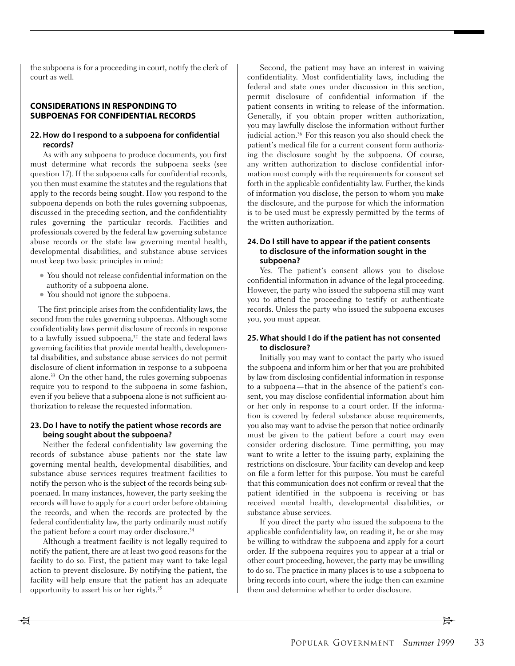the subpoena is for a proceeding in court, notify the clerk of court as well.

### **CONSIDERATIONS IN RESPONDING TO SUBPOENAS FOR CONFIDENTIAL RECORDS**

#### **22. How do I respond to a subpoena for confidential records?**

As with any subpoena to produce documents, you first must determine what records the subpoena seeks (see question 17). If the subpoena calls for confidential records, you then must examine the statutes and the regulations that apply to the records being sought. How you respond to the subpoena depends on both the rules governing subpoenas, discussed in the preceding section, and the confidentiality rules governing the particular records. Facilities and professionals covered by the federal law governing substance abuse records or the state law governing mental health, developmental disabilities, and substance abuse services must keep two basic principles in mind:

- You should not release confidential information on the authority of a subpoena alone.
- You should not ignore the subpoena.

The first principle arises from the confidentiality laws, the second from the rules governing subpoenas. Although some confidentiality laws permit disclosure of records in response to a lawfully issued subpoena, $32$  the state and federal laws governing facilities that provide mental health, developmental disabilities, and substance abuse services do not permit disclosure of client information in response to a subpoena alone.33 On the other hand, the rules governing subpoenas require you to respond to the subpoena in some fashion, even if you believe that a subpoena alone is not sufficient authorization to release the requested information.

## **23. Do I have to notify the patient whose records are being sought about the subpoena?**

Neither the federal confidentiality law governing the records of substance abuse patients nor the state law governing mental health, developmental disabilities, and substance abuse services requires treatment facilities to notify the person who is the subject of the records being subpoenaed. In many instances, however, the party seeking the records will have to apply for a court order before obtaining the records, and when the records are protected by the federal confidentiality law, the party ordinarily must notify the patient before a court may order disclosure.<sup>34</sup>

Although a treatment facility is not legally required to notify the patient, there are at least two good reasons for the facility to do so. First, the patient may want to take legal action to prevent disclosure. By notifying the patient, the facility will help ensure that the patient has an adequate opportunity to assert his or her rights.35

Second, the patient may have an interest in waiving confidentiality. Most confidentiality laws, including the federal and state ones under discussion in this section, permit disclosure of confidential information if the patient consents in writing to release of the information. Generally, if you obtain proper written authorization, you may lawfully disclose the information without further judicial action.<sup>36</sup> For this reason you also should check the patient's medical file for a current consent form authorizing the disclosure sought by the subpoena. Of course, any written authorization to disclose confidential information must comply with the requirements for consent set forth in the applicable confidentiality law. Further, the kinds of information you disclose, the person to whom you make the disclosure, and the purpose for which the information is to be used must be expressly permitted by the terms of the written authorization.

## **24. Do I still have to appear if the patient consents to disclosure of the information sought in the subpoena?**

Yes. The patient's consent allows you to disclose confidential information in advance of the legal proceeding. However, the party who issued the subpoena still may want you to attend the proceeding to testify or authenticate records. Unless the party who issued the subpoena excuses you, you must appear.

## **25. What should I do if the patient has not consented to disclosure?**

Initially you may want to contact the party who issued the subpoena and inform him or her that you are prohibited by law from disclosing confidential information in response to a subpoena—that in the absence of the patient's consent, you may disclose confidential information about him or her only in response to a court order. If the information is covered by federal substance abuse requirements, you also may want to advise the person that notice ordinarily must be given to the patient before a court may even consider ordering disclosure. Time permitting, you may want to write a letter to the issuing party, explaining the restrictions on disclosure. Your facility can develop and keep on file a form letter for this purpose. You must be careful that this communication does not confirm or reveal that the patient identified in the subpoena is receiving or has received mental health, developmental disabilities, or substance abuse services.

If you direct the party who issued the subpoena to the applicable confidentiality law, on reading it, he or she may be willing to withdraw the subpoena and apply for a court order. If the subpoena requires you to appear at a trial or other court proceeding, however, the party may be unwilling to do so. The practice in many places is to use a subpoena to bring records into court, where the judge then can examine them and determine whether to order disclosure.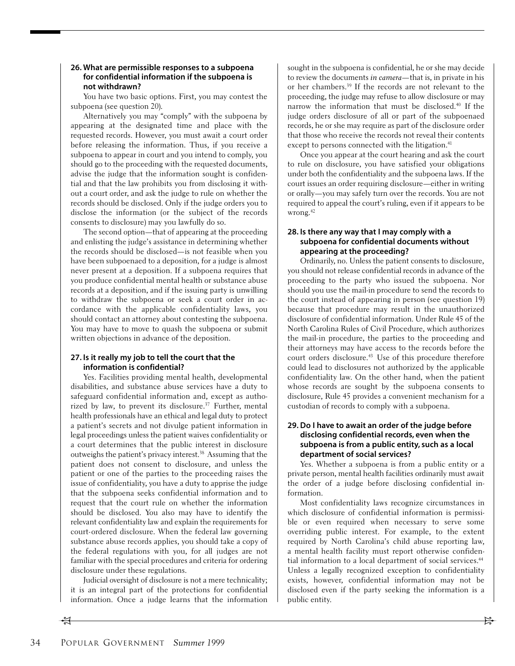### **26. What are permissible responses to a subpoena for confidential information if the subpoena is not withdrawn?**

You have two basic options. First, you may contest the subpoena (see question 20).

Alternatively you may "comply" with the subpoena by appearing at the designated time and place with the requested records. However, you must await a court order before releasing the information. Thus, if you receive a subpoena to appear in court and you intend to comply, you should go to the proceeding with the requested documents, advise the judge that the information sought is confidential and that the law prohibits you from disclosing it without a court order, and ask the judge to rule on whether the records should be disclosed. Only if the judge orders you to disclose the information (or the subject of the records consents to disclosure) may you lawfully do so.

The second option—that of appearing at the proceeding and enlisting the judge's assistance in determining whether the records should be disclosed—is not feasible when you have been subpoenaed to a deposition, for a judge is almost never present at a deposition. If a subpoena requires that you produce confidential mental health or substance abuse records at a deposition, and if the issuing party is unwilling to withdraw the subpoena or seek a court order in accordance with the applicable confidentiality laws, you should contact an attorney about contesting the subpoena. You may have to move to quash the subpoena or submit written objections in advance of the deposition.

## **27. Is it really my job to tell the court that the information is confidential?**

Yes. Facilities providing mental health, developmental disabilities, and substance abuse services have a duty to safeguard confidential information and, except as authorized by law, to prevent its disclosure.<sup>37</sup> Further, mental health professionals have an ethical and legal duty to protect a patient's secrets and not divulge patient information in legal proceedings unless the patient waives confidentiality or a court determines that the public interest in disclosure outweighs the patient's privacy interest.38 Assuming that the patient does not consent to disclosure, and unless the patient or one of the parties to the proceeding raises the issue of confidentiality, you have a duty to apprise the judge that the subpoena seeks confidential information and to request that the court rule on whether the information should be disclosed. You also may have to identify the relevant confidentiality law and explain the requirements for court-ordered disclosure. When the federal law governing substance abuse records applies, you should take a copy of the federal regulations with you, for all judges are not familiar with the special procedures and criteria for ordering disclosure under these regulations.

Judicial oversight of disclosure is not a mere technicality; it is an integral part of the protections for confidential information. Once a judge learns that the information

sought in the subpoena is confidential, he or she may decide to review the documents in camera—that is, in private in his or her chambers.39 If the records are not relevant to the proceeding, the judge may refuse to allow disclosure or may narrow the information that must be disclosed.40 If the judge orders disclosure of all or part of the subpoenaed records, he or she may require as part of the disclosure order that those who receive the records not reveal their contents except to persons connected with the litigation.<sup>41</sup>

Once you appear at the court hearing and ask the court to rule on disclosure, you have satisfied your obligations under both the confidentiality and the subpoena laws. If the court issues an order requiring disclosure—either in writing or orally—you may safely turn over the records. You are not required to appeal the court's ruling, even if it appears to be wrong.42

## **28. Is there any way that I may comply with a subpoena for confidential documents without appearing at the proceeding?**

Ordinarily, no. Unless the patient consents to disclosure, you should not release confidential records in advance of the proceeding to the party who issued the subpoena. Nor should you use the mail-in procedure to send the records to the court instead of appearing in person (see question 19) because that procedure may result in the unauthorized disclosure of confidential information. Under Rule 45 of the North Carolina Rules of Civil Procedure, which authorizes the mail-in procedure, the parties to the proceeding and their attorneys may have access to the records before the court orders disclosure.43 Use of this procedure therefore could lead to disclosures not authorized by the applicable confidentiality law. On the other hand, when the patient whose records are sought by the subpoena consents to disclosure, Rule 45 provides a convenient mechanism for a custodian of records to comply with a subpoena.

## **29. Do I have to await an order of the judge before disclosing confidential records, even when the subpoena is from a public entity, such as a local department of social services?**

Yes. Whether a subpoena is from a public entity or a private person, mental health facilities ordinarily must await the order of a judge before disclosing confidential information.

Most confidentiality laws recognize circumstances in which disclosure of confidential information is permissible or even required when necessary to serve some overriding public interest. For example, to the extent required by North Carolina's child abuse reporting law, a mental health facility must report otherwise confidential information to a local department of social services.<sup>44</sup> Unless a legally recognized exception to confidentiality exists, however, confidential information may not be disclosed even if the party seeking the information is a public entity.

 $\frac{1}{2}$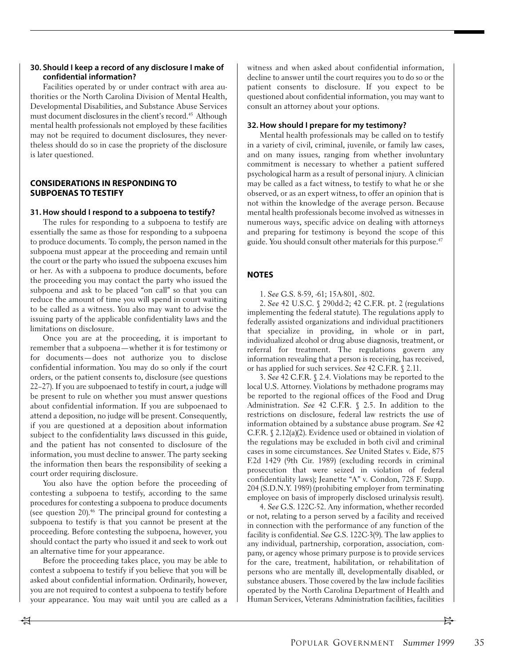## **30. Should I keep a record of any disclosure I make of confidential information?**

Facilities operated by or under contract with area authorities or the North Carolina Division of Mental Health, Developmental Disabilities, and Substance Abuse Services must document disclosures in the client's record.<sup>45</sup> Although mental health professionals not employed by these facilities may not be required to document disclosures, they nevertheless should do so in case the propriety of the disclosure is later questioned.

## **CONSIDERATIONS IN RESPONDING TO SUBPOENAS TO TESTIFY**

#### **31. How should I respond to a subpoena to testify?**

The rules for responding to a subpoena to testify are essentially the same as those for responding to a subpoena to produce documents. To comply, the person named in the subpoena must appear at the proceeding and remain until the court or the party who issued the subpoena excuses him or her. As with a subpoena to produce documents, before the proceeding you may contact the party who issued the subpoena and ask to be placed "on call" so that you can reduce the amount of time you will spend in court waiting to be called as a witness. You also may want to advise the issuing party of the applicable confidentiality laws and the limitations on disclosure.

Once you are at the proceeding, it is important to remember that a subpoena—whether it is for testimony or for documents—does not authorize you to disclose confidential information. You may do so only if the court orders, or the patient consents to, disclosure (see questions 22–27). If you are subpoenaed to testify in court, a judge will be present to rule on whether you must answer questions about confidential information. If you are subpoenaed to attend a deposition, no judge will be present. Consequently, if you are questioned at a deposition about information subject to the confidentiality laws discussed in this guide, and the patient has not consented to disclosure of the information, you must decline to answer. The party seeking the information then bears the responsibility of seeking a court order requiring disclosure.

You also have the option before the proceeding of contesting a subpoena to testify, according to the same procedures for contesting a subpoena to produce documents (see question 20). $46$  The principal ground for contesting a subpoena to testify is that you cannot be present at the proceeding. Before contesting the subpoena, however, you should contact the party who issued it and seek to work out an alternative time for your appearance.

Before the proceeding takes place, you may be able to contest a subpoena to testify if you believe that you will be asked about confidential information. Ordinarily, however, you are not required to contest a subpoena to testify before your appearance. You may wait until you are called as a

witness and when asked about confidential information, decline to answer until the court requires you to do so or the patient consents to disclosure. If you expect to be questioned about confidential information, you may want to consult an attorney about your options.

### **32. How should I prepare for my testimony?**

Mental health professionals may be called on to testify in a variety of civil, criminal, juvenile, or family law cases, and on many issues, ranging from whether involuntary commitment is necessary to whether a patient suffered psychological harm as a result of personal injury. A clinician may be called as a fact witness, to testify to what he or she observed, or as an expert witness, to offer an opinion that is not within the knowledge of the average person. Because mental health professionals become involved as witnesses in numerous ways, specific advice on dealing with attorneys and preparing for testimony is beyond the scope of this guide. You should consult other materials for this purpose.<sup>47</sup>

## **NOTES**

1. See G.S. 8-59, -61; 15A-801, -802.

2. See 42 U.S.C. § 290dd-2; 42 C.F.R. pt. 2 (regulations implementing the federal statute). The regulations apply to federally assisted organizations and individual practitioners that specialize in providing, in whole or in part, individualized alcohol or drug abuse diagnosis, treatment, or referral for treatment. The regulations govern any information revealing that a person is receiving, has received, or has applied for such services. See 42 C.F.R. § 2.11.

3. See 42 C.F.R. § 2.4. Violations may be reported to the local U.S. Attorney. Violations by methadone programs may be reported to the regional offices of the Food and Drug Administration. See 42 C.F.R. § 2.5. In addition to the restrictions on disclosure, federal law restricts the use of information obtained by a substance abuse program. See 42 C.F.R. § 2.12(a)(2). Evidence used or obtained in violation of the regulations may be excluded in both civil and criminal cases in some circumstances. See United States v. Eide, 875 F.2d 1429 (9th Cir. 1989) (excluding records in criminal prosecution that were seized in violation of federal confidentiality laws); Jeanette "A" v. Condon, 728 F. Supp. 204 (S.D.N.Y. 1989) (prohibiting employer from terminating employee on basis of improperly disclosed urinalysis result).

4. See G.S. 122C-52. Any information, whether recorded or not, relating to a person served by a facility and received in connection with the performance of any function of the facility is confidential. See G.S. 122C-3(9). The law applies to any individual, partnership, corporation, association, company, or agency whose primary purpose is to provide services for the care, treatment, habilitation, or rehabilitation of persons who are mentally ill, developmentally disabled, or substance abusers. Those covered by the law include facilities operated by the North Carolina Department of Health and Human Services, Veterans Administration facilities, facilities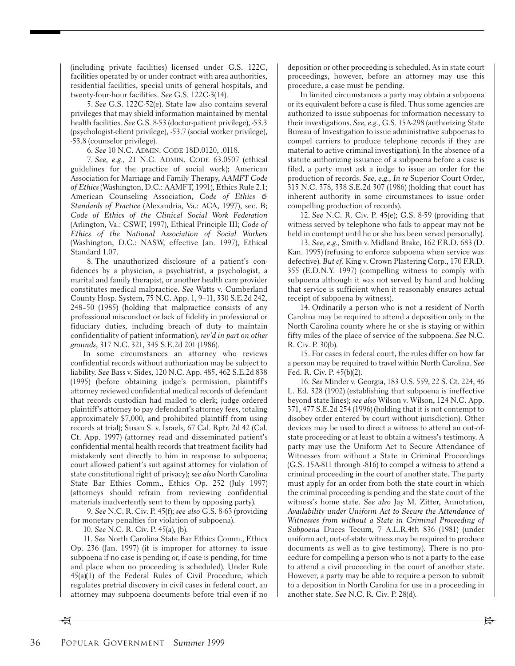(including private facilities) licensed under G.S. 122C, facilities operated by or under contract with area authorities, residential facilities, special units of general hospitals, and twenty-four-hour facilities. See G.S. 122C-3(14).

5. See G.S. 122C-52(e). State law also contains several privileges that may shield information maintained by mental health facilities. See G.S. 8-53 (doctor-patient privilege), -53.3 (psychologist-client privilege), -53.7 (social worker privilege), -53.8 (counselor privilege).

6. See 10 N.C. ADMIN. CODE 18D.0120, .0118.

7. See, e.g., 21 N.C. ADMIN. CODE 63.0507 (ethical guidelines for the practice of social work); American Association for Marriage and Family Therapy, AAMFT Code of Ethics (Washington, D.C.: AAMFT, 1991), Ethics Rule 2.1; American Counseling Association, Code of Ethics & Standards of Practice (Alexandria, Va.: ACA, 1997), sec. B; Code of Ethics of the Clinical Social Work Federation (Arlington, Va.: CSWF, 1997), Ethical Principle III; Code of Ethics of the National Association of Social Workers (Washington, D.C.: NASW, effective Jan. 1997), Ethical Standard 1.07.

8. The unauthorized disclosure of a patient's confidences by a physician, a psychiatrist, a psychologist, a marital and family therapist, or another health care provider constitutes medical malpractice. See Watts v. Cumberland County Hosp. System, 75 N.C. App. 1, 9–11, 330 S.E.2d 242, 248–50 (1985) (holding that malpractice consists of any professional misconduct or lack of fidelity in professional or fiduciary duties, including breach of duty to maintain confidentiality of patient information), rev'd in part on other grounds, 317 N.C. 321, 345 S.E.2d 201 (1986).

In some circumstances an attorney who reviews confidential records without authorization may be subject to liability. See Bass v. Sides, 120 N.C. App. 485, 462 S.E.2d 838 (1995) (before obtaining judge's permission, plaintiff's attorney reviewed confidential medical records of defendant that records custodian had mailed to clerk; judge ordered plaintiff's attorney to pay defendant's attorney fees, totaling approximately \$7,000, and prohibited plaintiff from using records at trial); Susan S. v. Israels, 67 Cal. Rptr. 2d 42 (Cal. Ct. App. 1997) (attorney read and disseminated patient's confidential mental health records that treatment facility had mistakenly sent directly to him in response to subpoena; court allowed patient's suit against attorney for violation of state constitutional right of privacy); see also North Carolina State Bar Ethics Comm., Ethics Op. 252 (July 1997) (attorneys should refrain from reviewing confidential materials inadvertently sent to them by opposing party).

9. See N.C. R. Civ. P. 45(f); see also G.S. 8-63 (providing for monetary penalties for violation of subpoena).

10. See N.C. R. Civ. P. 45(a), (b).

11. See North Carolina State Bar Ethics Comm., Ethics Op. 236 (Jan. 1997) (it is improper for attorney to issue subpoena if no case is pending or, if case is pending, for time and place when no proceeding is scheduled). Under Rule 45(a)(1) of the Federal Rules of Civil Procedure, which regulates pretrial discovery in civil cases in federal court, an attorney may subpoena documents before trial even if no deposition or other proceeding is scheduled. As in state court proceedings, however, before an attorney may use this procedure, a case must be pending.

In limited circumstances a party may obtain a subpoena or its equivalent before a case is filed. Thus some agencies are authorized to issue subpoenas for information necessary to their investigations. See, e.g., G.S. 15A-298 (authorizing State Bureau of Investigation to issue administrative subpoenas to compel carriers to produce telephone records if they are material to active criminal investigation). In the absence of a statute authorizing issuance of a subpoena before a case is filed, a party must ask a judge to issue an order for the production of records. See, e.g., In re Superior Court Order, 315 N.C. 378, 338 S.E.2d 307 (1986) (holding that court has inherent authority in some circumstances to issue order compelling production of records).

12. See N.C. R. Civ. P. 45(e); G.S. 8-59 (providing that witness served by telephone who fails to appear may not be held in contempt until he or she has been served personally).

13. See, e.g., Smith v. Midland Brake, 162 F.R.D. 683 (D. Kan. 1995) (refusing to enforce subpoena when service was defective). But cf. King v. Crown Plastering Corp., 170 F.R.D. 355 (E.D.N.Y. 1997) (compelling witness to comply with subpoena although it was not served by hand and holding that service is sufficient when it reasonably ensures actual receipt of subpoena by witness).

14. Ordinarily a person who is not a resident of North Carolina may be required to attend a deposition only in the North Carolina county where he or she is staying or within fifty miles of the place of service of the subpoena. See N.C. R. Civ. P. 30(b).

15. For cases in federal court, the rules differ on how far a person may be required to travel within North Carolina. See Fed. R. Civ. P. 45(b)(2).

16. See Minder v. Georgia, 183 U.S. 559, 22 S. Ct. 224, 46 L. Ed. 328 (1902) (establishing that subpoena is ineffective beyond state lines); see also Wilson v. Wilson, 124 N.C. App. 371, 477 S.E.2d 254 (1996) (holding that it is not contempt to disobey order entered by court without jurisdiction). Other devices may be used to direct a witness to attend an out-ofstate proceeding or at least to obtain a witness's testimony. A party may use the Uniform Act to Secure Attendance of Witnesses from without a State in Criminal Proceedings (G.S. 15A-811 through -816) to compel a witness to attend a criminal proceeding in the court of another state. The party must apply for an order from both the state court in which the criminal proceeding is pending and the state court of the witness's home state. See also Jay M. Zitter, Annotation, Availability under Uniform Act to Secure the Attendance of Witnesses from without a State in Criminal Proceeding of Subpoena Duces Tecum, 7 A.L.R.4th 836 (1981) (under uniform act, out-of-state witness may be required to produce documents as well as to give testimony). There is no procedure for compelling a person who is not a party to the case to attend a civil proceeding in the court of another state. However, a party may be able to require a person to submit to a deposition in North Carolina for use in a proceeding in another state. See N.C. R. Civ. P. 28(d).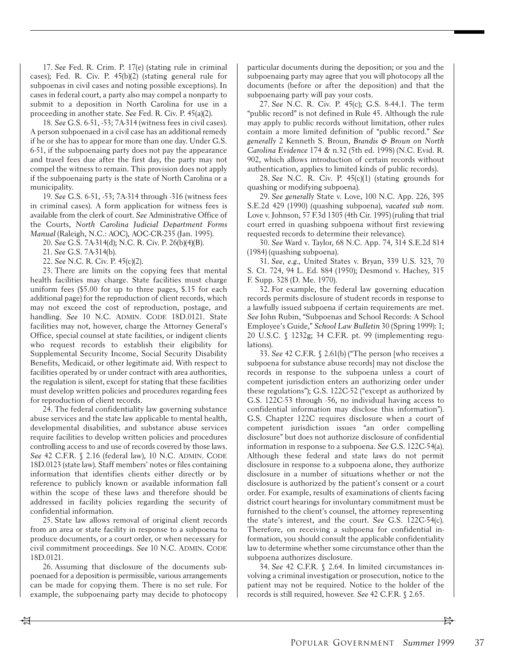17. See Fed. R. Crim. P. 17(e) (stating rule in criminal cases); Fed. R. Civ. P. 45(b)(2) (stating general rule for subpoenas in civil cases and noting possible exceptions). In cases in federal court, a party also may compel a nonparty to submit to a deposition in North Carolina for use in a proceeding in another state. See Fed. R. Civ. P. 45(a)(2).

18. See G.S. 6-51, -53; 7A-314 (witness fees in civil cases). A person subpoenaed in a civil case has an additional remedy if he or she has to appear for more than one day. Under G.S. 6-51, if the subpoenaing party does not pay the appearance and travel fees due after the first day, the party may not compel the witness to remain. This provision does not apply if the subpoenaing party is the state of North Carolina or a municipality.

19. See G.S. 6-51, -53; 7A-314 through -316 (witness fees in criminal cases). A form application for witness fees is available from the clerk of court. See Administrative Office of the Courts, North Carolina Judicial Department Forms Manual (Raleigh, N.C.: AOC), AOC-CR-235 (Jan. 1995).

20. See G.S. 7A-314(d); N.C. R. Civ. P. 26(b)(4)(B).

21. See G.S. 7A-314(b).

22. See N.C. R. Civ. P. 45(c)(2).

23. There are limits on the copying fees that mental health facilities may charge. State facilities must charge uniform fees (\$5.00 for up to three pages, \$.15 for each additional page) for the reproduction of client records, which may not exceed the cost of reproduction, postage, and handling. See 10 N.C. ADMIN. CODE 18D.0121. State facilities may not, however, charge the Attorney General's Office, special counsel at state facilities, or indigent clients who request records to establish their eligibility for Supplemental Security Income, Social Security Disability Benefits, Medicaid, or other legitimate aid. With respect to facilities operated by or under contract with area authorities, the regulation is silent, except for stating that these facilities must develop written policies and procedures regarding fees for reproduction of client records.

24. The federal confidentiality law governing substance abuse services and the state law applicable to mental health, developmental disabilities, and substance abuse services require facilities to develop written policies and procedures controlling access to and use of records covered by those laws. See 42 C.F.R. § 2.16 (federal law), 10 N.C. ADMIN. CODE 18D.0123 (state law). Staff members' notes or files containing information that identifies clients either directly or by reference to publicly known or available information fall within the scope of these laws and therefore should be addressed in facility policies regarding the security of confidential information.

25. State law allows removal of original client records from an area or state facility in response to a subpoena to produce documents, or a court order, or when necessary for civil commitment proceedings. See 10 N.C. ADMIN. CODE 18D.0121.

26. Assuming that disclosure of the documents subpoenaed for a deposition is permissible, various arrangements can be made for copying them. There is no set rule. For example, the subpoenaing party may decide to photocopy

particular documents during the deposition; or you and the subpoenaing party may agree that you will photocopy all the documents (before or after the deposition) and that the subpoenaing party will pay your costs.

27. See N.C. R. Civ. P. 45(c); G.S. 8-44.1. The term "public record" is not defined in Rule 45. Although the rule may apply to public records without limitation, other rules contain a more limited definition of "public record." See generally 2 Kenneth S. Broun, Brandis & Broun on North Carolina Evidence 174 & n.32 (5th ed. 1998) (N.C. Evid. R. 902, which allows introduction of certain records without authentication, applies to limited kinds of public records).

28. See N.C. R. Civ. P. 45(c)(1) (stating grounds for quashing or modifying subpoena).

29. See generally State v. Love, 100 N.C. App. 226, 395 S.E.2d 429 (1990) (quashing subpoena), vacated sub nom. Love v. Johnson, 57 F.3d 1305 (4th Cir. 1995) (ruling that trial court erred in quashing subpoena without first reviewing requested records to determine their relevance).

30. See Ward v. Taylor, 68 N.C. App. 74, 314 S.E.2d 814 (1984) (quashing subpoena).

31. See, e.g., United States v. Bryan, 339 U.S. 323, 70 S. Ct. 724, 94 L. Ed. 884 (1950); Desmond v. Hachey, 315 F. Supp. 328 (D. Me. 1970).

32. For example, the federal law governing education records permits disclosure of student records in response to a lawfully issued subpoena if certain requirements are met. See John Rubin, "Subpoenas and School Records: A School Employee's Guide," School Law Bulletin 30 (Spring 1999): 1; 20 U.S.C. § 1232g; 34 C.F.R. pt. 99 (implementing regulations).

33. See 42 C.F.R. § 2.61(b) ("The person [who receives a subpoena for substance abuse records] may not disclose the records in response to the subpoena unless a court of competent jurisdiction enters an authorizing order under these regulations"); G.S. 122C-52 ("except as authorized by G.S. 122C-53 through -56, no individual having access to confidential information may disclose this information"). G.S. Chapter 122C requires disclosure when a court of competent jurisdiction issues "an order compelling disclosure" but does not authorize disclosure of confidential information in response to a subpoena. See G.S. 122C-54(a). Although these federal and state laws do not permit disclosure in response to a subpoena alone, they authorize disclosure in a number of situations whether or not the disclosure is authorized by the patient's consent or a court order. For example, results of examinations of clients facing district court hearings for involuntary commitment must be furnished to the client's counsel, the attorney representing the state's interest, and the court. See G.S. 122C-54(c). Therefore, on receiving a subpoena for confidential information, you should consult the applicable confidentiality law to determine whether some circumstance other than the subpoena authorizes disclosure.

34. See 42 C.F.R. § 2.64. In limited circumstances involving a criminal investigation or prosecution, notice to the patient may not be required. Notice to the holder of the records is still required, however. See 42 C.F.R. § 2.65.